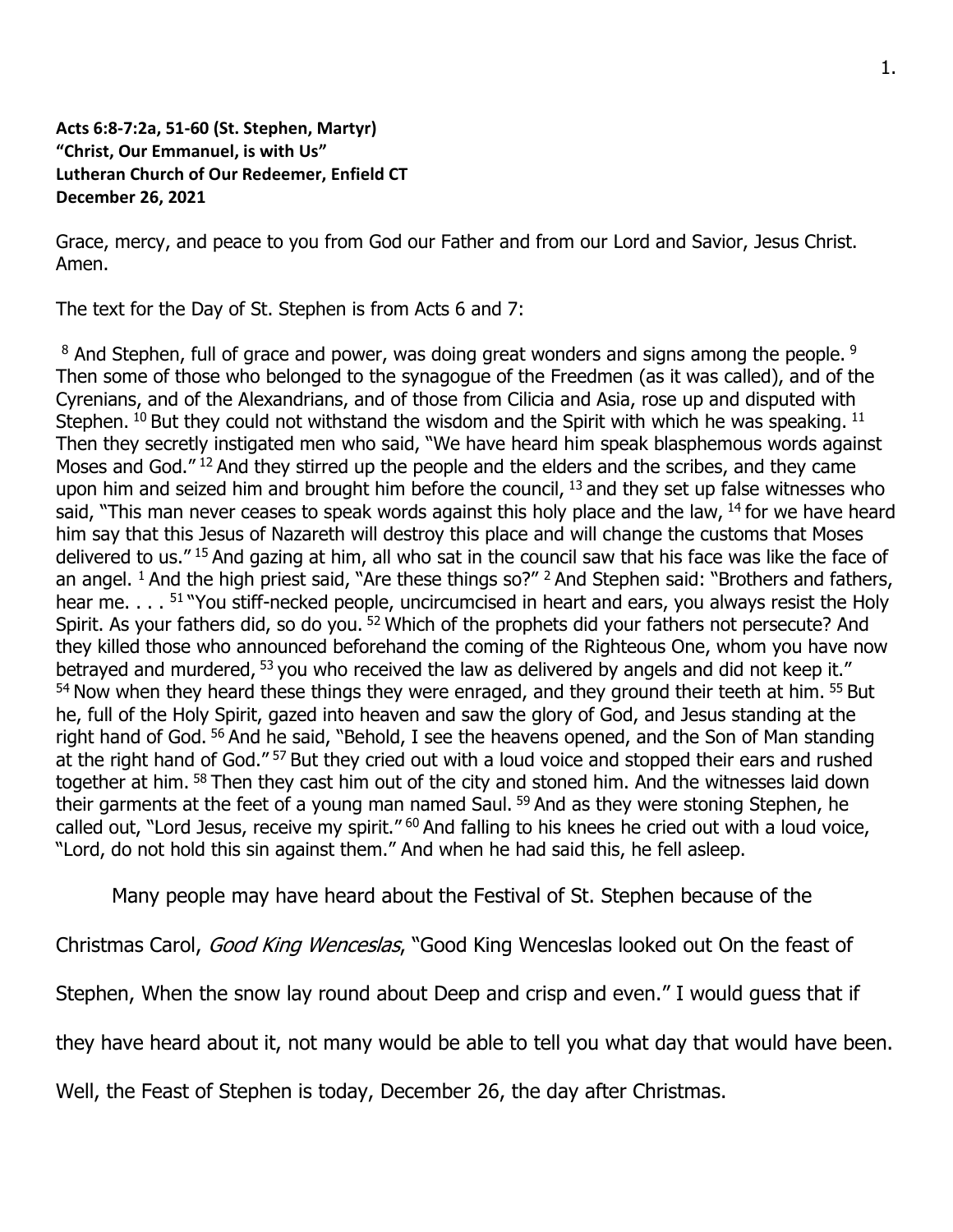## **Acts 6:8-7:2a, 51-60 (St. Stephen, Martyr) "Christ, Our Emmanuel, is with Us" Lutheran Church of Our Redeemer, Enfield CT December 26, 2021**

Grace, mercy, and peace to you from God our Father and from our Lord and Savior, Jesus Christ. Amen.

The text for the Day of St. Stephen is from Acts 6 and 7:

<sup>8</sup> And Stephen, full of grace and power, was doing great wonders and signs among the people. <sup>9</sup> Then some of those who belonged to the synagogue of the Freedmen (as it was called), and of the Cyrenians, and of the Alexandrians, and of those from Cilicia and Asia, rose up and disputed with Stephen.  $10$  But they could not withstand the wisdom and the Spirit with which he was speaking.  $11$ Then they secretly instigated men who said, "We have heard him speak blasphemous words against Moses and God."<sup>12</sup> And they stirred up the people and the elders and the scribes, and they came upon him and seized him and brought him before the council,  $13$  and they set up false witnesses who said, "This man never ceases to speak words against this holy place and the law,  $^{14}$  for we have heard him say that this Jesus of Nazareth will destroy this place and will change the customs that Moses delivered to us." <sup>15</sup> And gazing at him, all who sat in the council saw that his face was like the face of an angel. <sup>1</sup> And the high priest said, "Are these things so?" <sup>2</sup> And Stephen said: "Brothers and fathers, hear me. . . . <sup>51</sup> "You stiff-necked people, uncircumcised in heart and ears, you always resist the Holy Spirit. As your fathers did, so do you. <sup>52</sup> Which of the prophets did your fathers not persecute? And they killed those who announced beforehand the coming of the Righteous One, whom you have now betrayed and murdered, <sup>53</sup> you who received the law as delivered by angels and did not keep it."  $54$  Now when they heard these things they were enraged, and they ground their teeth at him.  $55$  But he, full of the Holy Spirit, gazed into heaven and saw the glory of God, and Jesus standing at the right hand of God. <sup>56</sup> And he said, "Behold, I see the heavens opened, and the Son of Man standing at the right hand of God."<sup>57</sup> But they cried out with a loud voice and stopped their ears and rushed together at him. <sup>58</sup> Then they cast him out of the city and stoned him. And the witnesses laid down their garments at the feet of a young man named Saul.  $59$  And as they were stoning Stephen, he called out, "Lord Jesus, receive my spirit." <sup>60</sup> And falling to his knees he cried out with a loud voice, "Lord, do not hold this sin against them." And when he had said this, he fell asleep.

Many people may have heard about the Festival of St. Stephen because of the

Christmas Carol, Good King Wenceslas, "Good King Wenceslas looked out On the feast of

Stephen, When the snow lay round about Deep and crisp and even." I would guess that if

they have heard about it, not many would be able to tell you what day that would have been.

Well, the Feast of Stephen is today, December 26, the day after Christmas.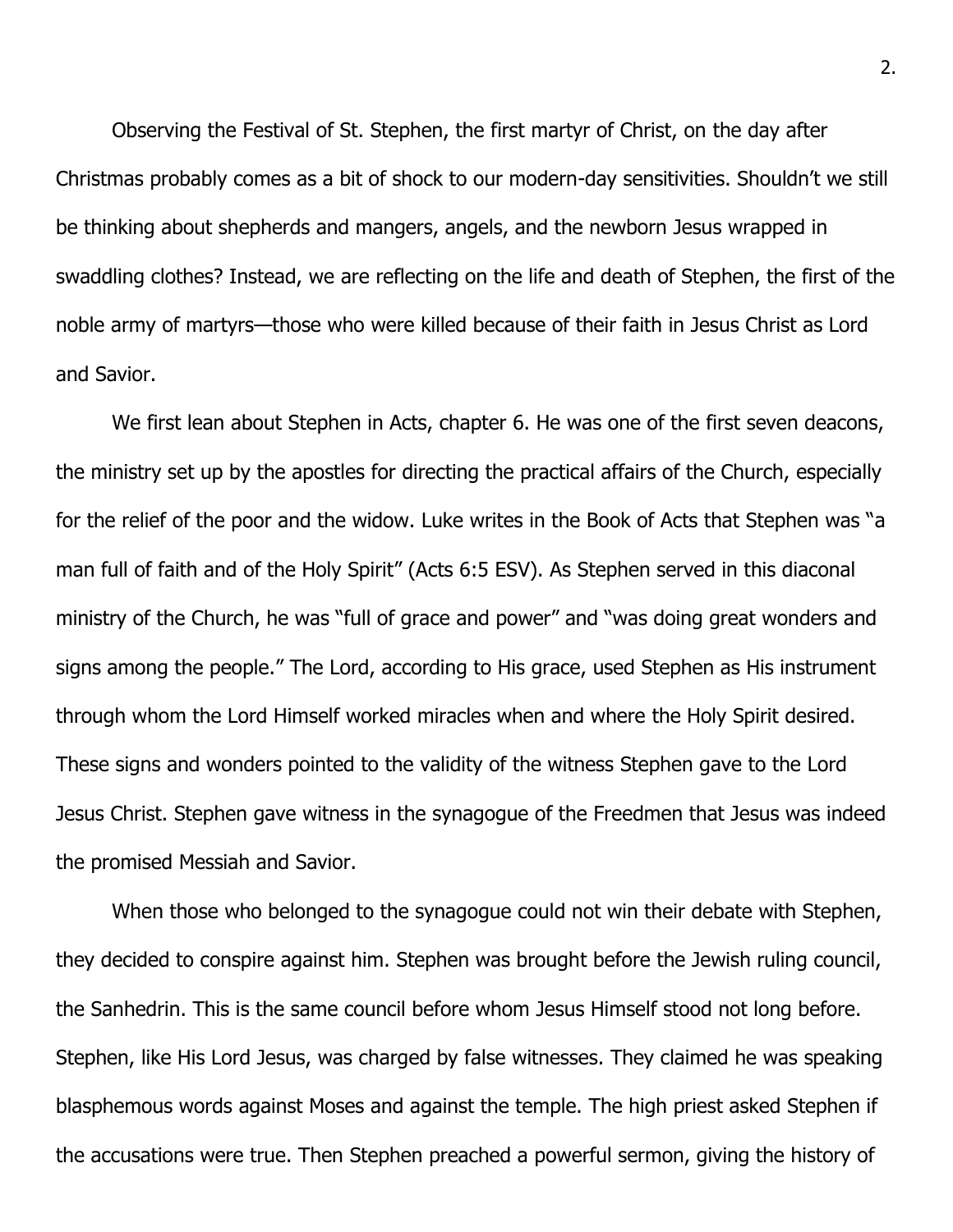Observing the Festival of St. Stephen, the first martyr of Christ, on the day after Christmas probably comes as a bit of shock to our modern-day sensitivities. Shouldn't we still be thinking about shepherds and mangers, angels, and the newborn Jesus wrapped in swaddling clothes? Instead, we are reflecting on the life and death of Stephen, the first of the noble army of martyrs—those who were killed because of their faith in Jesus Christ as Lord and Savior.

We first lean about Stephen in Acts, chapter 6. He was one of the first seven deacons, the ministry set up by the apostles for directing the practical affairs of the Church, especially for the relief of the poor and the widow. Luke writes in the Book of Acts that Stephen was "a man full of faith and of the Holy Spirit" (Acts 6:5 ESV). As Stephen served in this diaconal ministry of the Church, he was "full of grace and power" and "was doing great wonders and signs among the people." The Lord, according to His grace, used Stephen as His instrument through whom the Lord Himself worked miracles when and where the Holy Spirit desired. These signs and wonders pointed to the validity of the witness Stephen gave to the Lord Jesus Christ. Stephen gave witness in the synagogue of the Freedmen that Jesus was indeed the promised Messiah and Savior.

When those who belonged to the synagogue could not win their debate with Stephen, they decided to conspire against him. Stephen was brought before the Jewish ruling council, the Sanhedrin. This is the same council before whom Jesus Himself stood not long before. Stephen, like His Lord Jesus, was charged by false witnesses. They claimed he was speaking blasphemous words against Moses and against the temple. The high priest asked Stephen if the accusations were true. Then Stephen preached a powerful sermon, giving the history of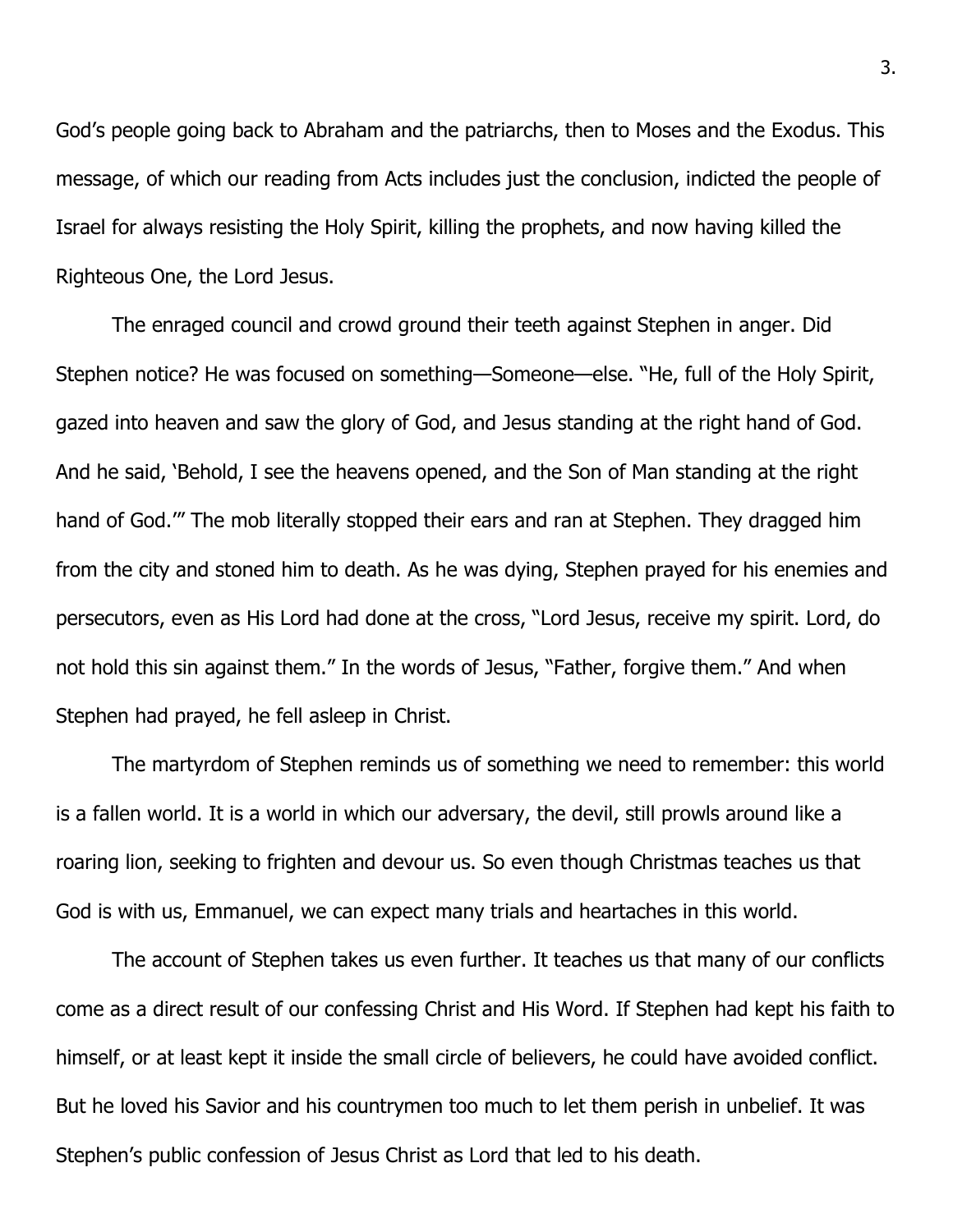God's people going back to Abraham and the patriarchs, then to Moses and the Exodus. This message, of which our reading from Acts includes just the conclusion, indicted the people of Israel for always resisting the Holy Spirit, killing the prophets, and now having killed the Righteous One, the Lord Jesus.

The enraged council and crowd ground their teeth against Stephen in anger. Did Stephen notice? He was focused on something—Someone—else. "He, full of the Holy Spirit, gazed into heaven and saw the glory of God, and Jesus standing at the right hand of God. And he said, 'Behold, I see the heavens opened, and the Son of Man standing at the right hand of God.'" The mob literally stopped their ears and ran at Stephen. They dragged him from the city and stoned him to death. As he was dying, Stephen prayed for his enemies and persecutors, even as His Lord had done at the cross, "Lord Jesus, receive my spirit. Lord, do not hold this sin against them." In the words of Jesus, "Father, forgive them." And when Stephen had prayed, he fell asleep in Christ.

The martyrdom of Stephen reminds us of something we need to remember: this world is a fallen world. It is a world in which our adversary, the devil, still prowls around like a roaring lion, seeking to frighten and devour us. So even though Christmas teaches us that God is with us, Emmanuel, we can expect many trials and heartaches in this world.

The account of Stephen takes us even further. It teaches us that many of our conflicts come as a direct result of our confessing Christ and His Word. If Stephen had kept his faith to himself, or at least kept it inside the small circle of believers, he could have avoided conflict. But he loved his Savior and his countrymen too much to let them perish in unbelief. It was Stephen's public confession of Jesus Christ as Lord that led to his death.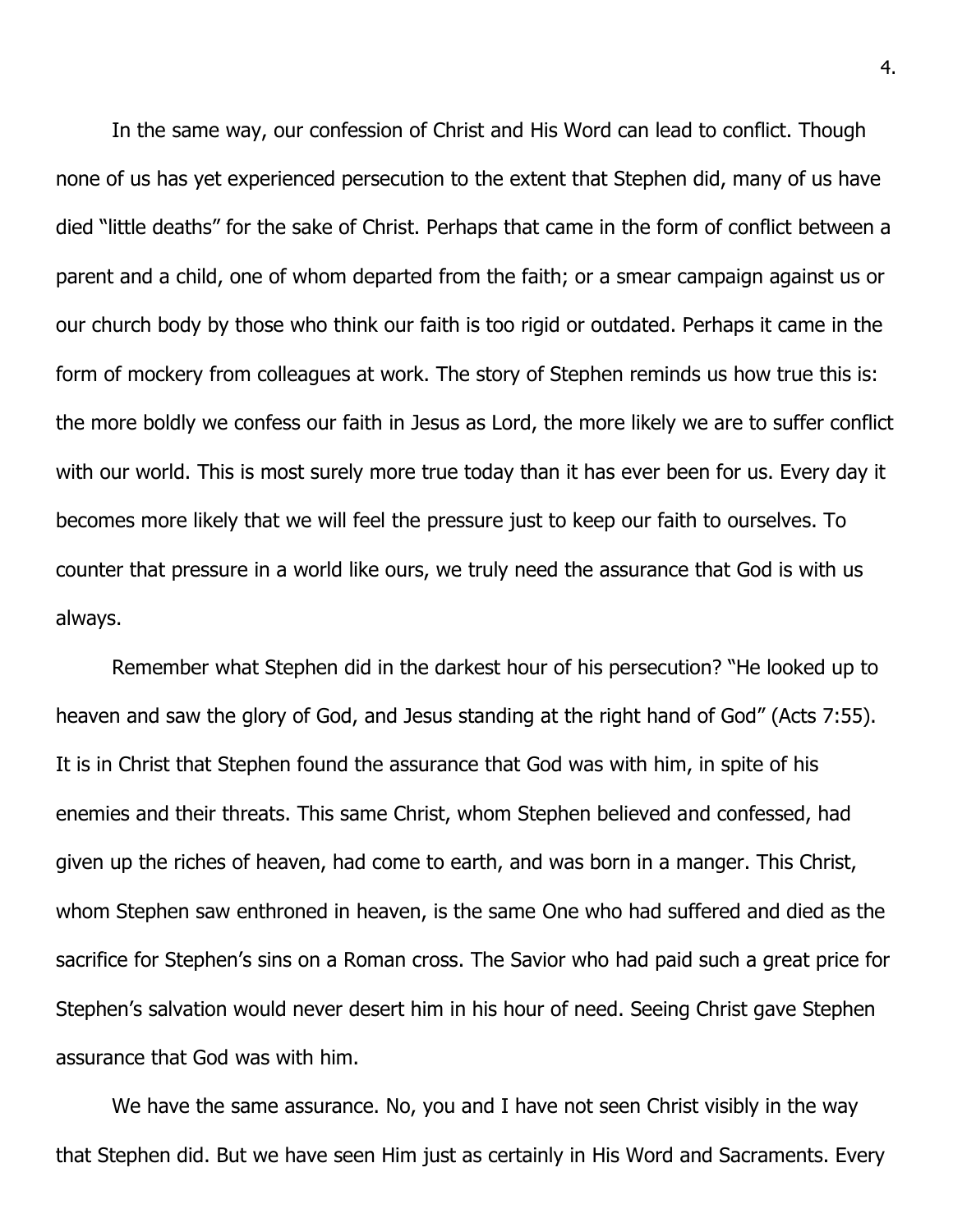In the same way, our confession of Christ and His Word can lead to conflict. Though none of us has yet experienced persecution to the extent that Stephen did, many of us have died "little deaths" for the sake of Christ. Perhaps that came in the form of conflict between a parent and a child, one of whom departed from the faith; or a smear campaign against us or our church body by those who think our faith is too rigid or outdated. Perhaps it came in the form of mockery from colleagues at work. The story of Stephen reminds us how true this is: the more boldly we confess our faith in Jesus as Lord, the more likely we are to suffer conflict with our world. This is most surely more true today than it has ever been for us. Every day it becomes more likely that we will feel the pressure just to keep our faith to ourselves. To counter that pressure in a world like ours, we truly need the assurance that God is with us always.

Remember what Stephen did in the darkest hour of his persecution? "He looked up to heaven and saw the glory of God, and Jesus standing at the right hand of God" (Acts 7:55). It is in Christ that Stephen found the assurance that God was with him, in spite of his enemies and their threats. This same Christ, whom Stephen believed and confessed, had given up the riches of heaven, had come to earth, and was born in a manger. This Christ, whom Stephen saw enthroned in heaven, is the same One who had suffered and died as the sacrifice for Stephen's sins on a Roman cross. The Savior who had paid such a great price for Stephen's salvation would never desert him in his hour of need. Seeing Christ gave Stephen assurance that God was with him.

We have the same assurance. No, you and I have not seen Christ visibly in the way that Stephen did. But we have seen Him just as certainly in His Word and Sacraments. Every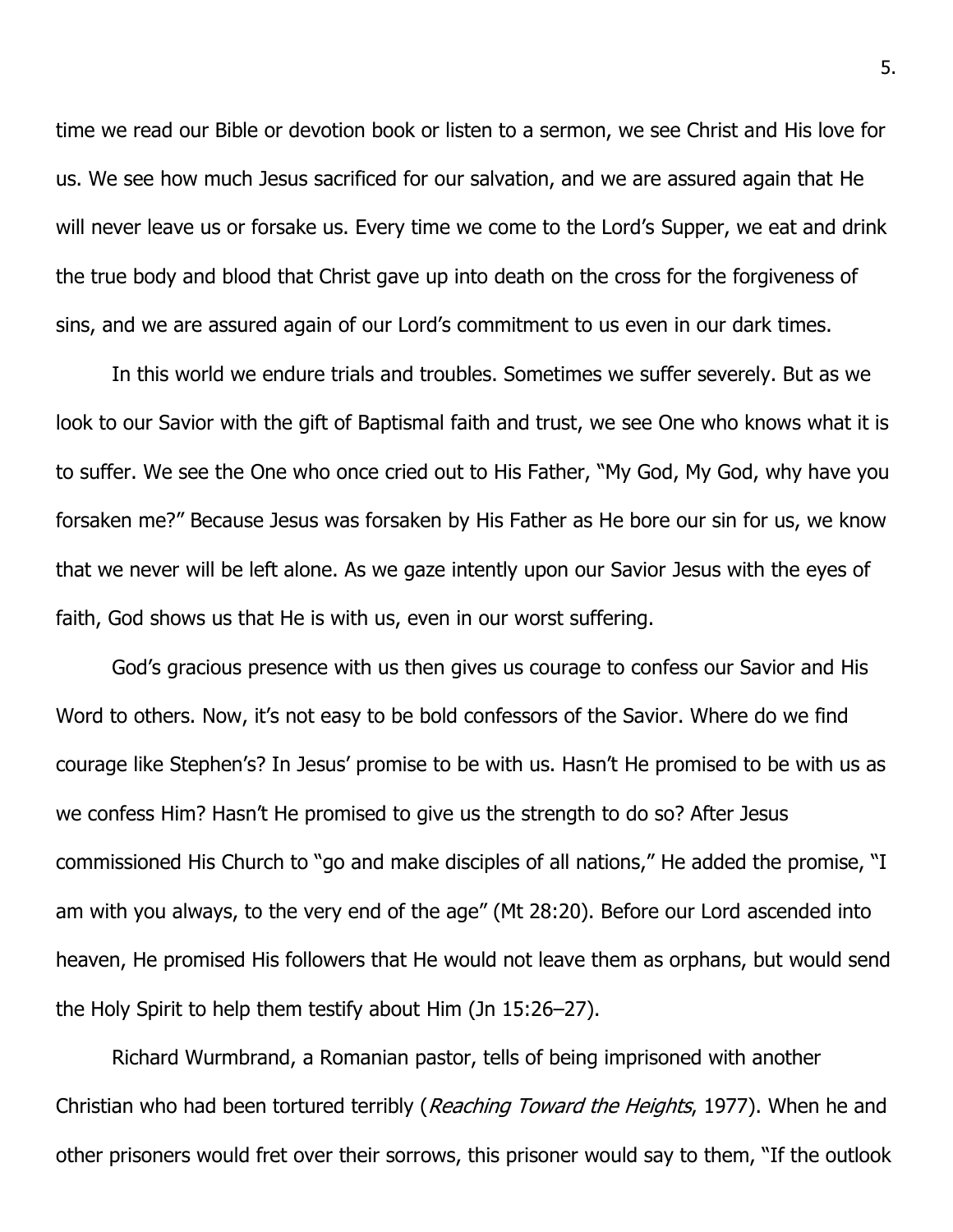time we read our Bible or devotion book or listen to a sermon, we see Christ and His love for us. We see how much Jesus sacrificed for our salvation, and we are assured again that He will never leave us or forsake us. Every time we come to the Lord's Supper, we eat and drink the true body and blood that Christ gave up into death on the cross for the forgiveness of sins, and we are assured again of our Lord's commitment to us even in our dark times.

In this world we endure trials and troubles. Sometimes we suffer severely. But as we look to our Savior with the gift of Baptismal faith and trust, we see One who knows what it is to suffer. We see the One who once cried out to His Father, "My God, My God, why have you forsaken me?" Because Jesus was forsaken by His Father as He bore our sin for us, we know that we never will be left alone. As we gaze intently upon our Savior Jesus with the eyes of faith, God shows us that He is with us, even in our worst suffering.

God's gracious presence with us then gives us courage to confess our Savior and His Word to others. Now, it's not easy to be bold confessors of the Savior. Where do we find courage like Stephen's? In Jesus' promise to be with us. Hasn't He promised to be with us as we confess Him? Hasn't He promised to give us the strength to do so? After Jesus commissioned His Church to "go and make disciples of all nations," He added the promise, "I am with you always, to the very end of the age" (Mt 28:20). Before our Lord ascended into heaven, He promised His followers that He would not leave them as orphans, but would send the Holy Spirit to help them testify about Him (Jn 15:26–27).

Richard Wurmbrand, a Romanian pastor, tells of being imprisoned with another Christian who had been tortured terribly (Reaching Toward the Heights, 1977). When he and other prisoners would fret over their sorrows, this prisoner would say to them, "If the outlook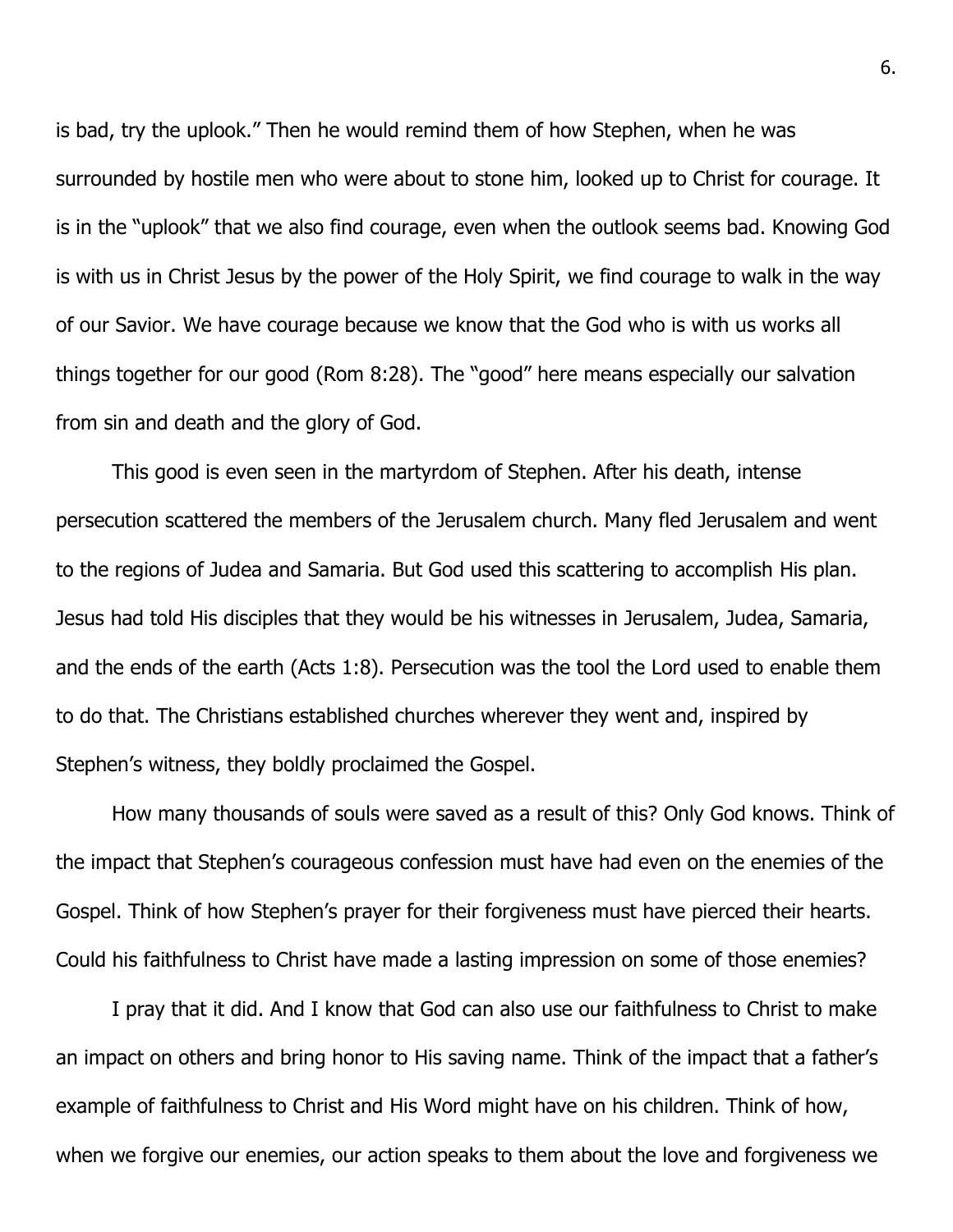is bad, try the uplook." Then he would remind them of how Stephen, when he was surrounded by hostile men who were about to stone him, looked up to Christ for courage. It is in the "uplook" that we also find courage, even when the outlook seems bad. Knowing God is with us in Christ Jesus by the power of the Holy Spirit, we find courage to walk in the way of our Savior. We have courage because we know that the God who is with us works all things together for our good (Rom 8:28). The "good" here means especially our salvation from sin and death and the glory of God.

This good is even seen in the martyrdom of Stephen. After his death, intense persecution scattered the members of the Jerusalem church. Many fled Jerusalem and went to the regions of Judea and Samaria. But God used this scattering to accomplish His plan. Jesus had told His disciples that they would be his witnesses in Jerusalem, Judea, Samaria, and the ends of the earth (Acts 1:8). Persecution was the tool the Lord used to enable them to do that. The Christians established churches wherever they went and, inspired by Stephen's witness, they boldly proclaimed the Gospel.

How many thousands of souls were saved as a result of this? Only God knows. Think of the impact that Stephen's courageous confession must have had even on the enemies of the Gospel. Think of how Stephen's prayer for their forgiveness must have pierced their hearts. Could his faithfulness to Christ have made a lasting impression on some of those enemies?

I pray that it did. And I know that God can also use our faithfulness to Christ to make an impact on others and bring honor to His saving name. Think of the impact that a father's example of faithfulness to Christ and His Word might have on his children. Think of how, when we forgive our enemies, our action speaks to them about the love and forgiveness we